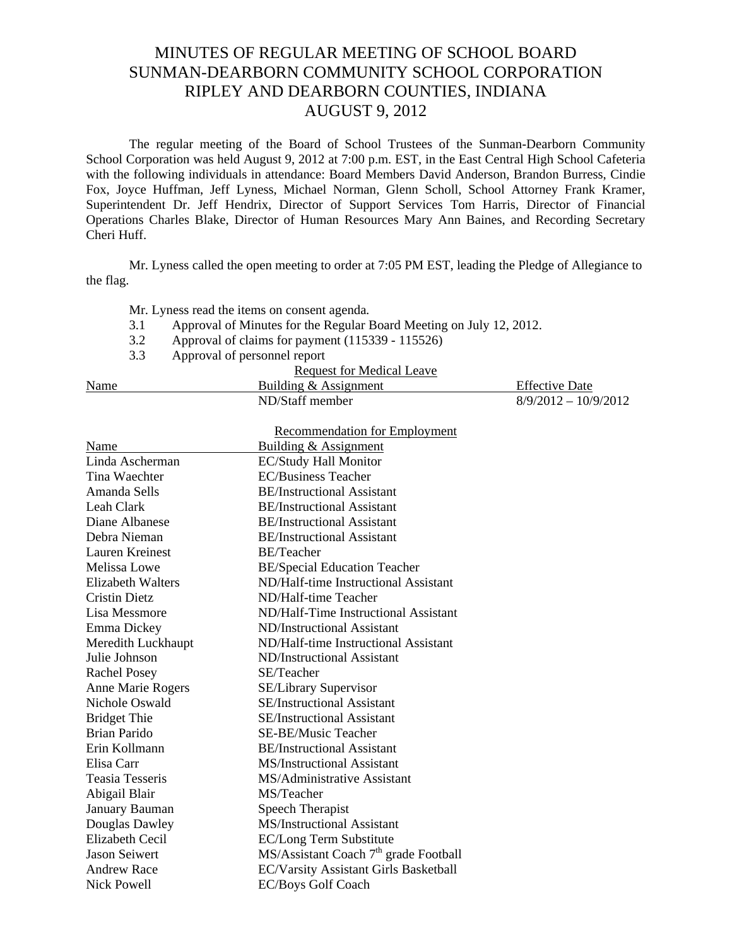## MINUTES OF REGULAR MEETING OF SCHOOL BOARD SUNMAN-DEARBORN COMMUNITY SCHOOL CORPORATION RIPLEY AND DEARBORN COUNTIES, INDIANA AUGUST 9, 2012

The regular meeting of the Board of School Trustees of the Sunman-Dearborn Community School Corporation was held August 9, 2012 at 7:00 p.m. EST, in the East Central High School Cafeteria with the following individuals in attendance: Board Members David Anderson, Brandon Burress, Cindie Fox, Joyce Huffman, Jeff Lyness, Michael Norman, Glenn Scholl, School Attorney Frank Kramer, Superintendent Dr. Jeff Hendrix, Director of Support Services Tom Harris, Director of Financial Operations Charles Blake, Director of Human Resources Mary Ann Baines, and Recording Secretary Cheri Huff.

Mr. Lyness called the open meeting to order at 7:05 PM EST, leading the Pledge of Allegiance to the flag.

Mr. Lyness read the items on consent agenda*.* 

- 3.1 Approval of Minutes for the Regular Board Meeting on July 12, 2012.
- 3.2 Approval of claims for payment (115339 115526)
- 3.3 Approval of personnel report

| Request for Medical Leave |                       |                        |  |  |
|---------------------------|-----------------------|------------------------|--|--|
| Name                      | Building & Assignment | <b>Effective Date</b>  |  |  |
|                           | ND/Staff member       | $8/9/2012 - 10/9/2012$ |  |  |
|                           |                       |                        |  |  |

| <b>Recommendation for Employment</b> |                                                   |  |  |
|--------------------------------------|---------------------------------------------------|--|--|
| Name                                 | <b>Building &amp; Assignment</b>                  |  |  |
| Linda Ascherman                      | <b>EC/Study Hall Monitor</b>                      |  |  |
| Tina Waechter                        | <b>EC/Business Teacher</b>                        |  |  |
| Amanda Sells                         | <b>BE/Instructional Assistant</b>                 |  |  |
| Leah Clark                           | <b>BE/Instructional Assistant</b>                 |  |  |
| Diane Albanese                       | <b>BE/Instructional Assistant</b>                 |  |  |
| Debra Nieman                         | <b>BE/Instructional Assistant</b>                 |  |  |
| Lauren Kreinest                      | <b>BE/Teacher</b>                                 |  |  |
| <b>Melissa Lowe</b>                  | <b>BE/Special Education Teacher</b>               |  |  |
| <b>Elizabeth Walters</b>             | ND/Half-time Instructional Assistant              |  |  |
| <b>Cristin Dietz</b>                 | ND/Half-time Teacher                              |  |  |
| Lisa Messmore                        | ND/Half-Time Instructional Assistant              |  |  |
| Emma Dickey                          | ND/Instructional Assistant                        |  |  |
| Meredith Luckhaupt                   | ND/Half-time Instructional Assistant              |  |  |
| Julie Johnson                        | ND/Instructional Assistant                        |  |  |
| <b>Rachel Posey</b>                  | SE/Teacher                                        |  |  |
| Anne Marie Rogers                    | <b>SE/Library Supervisor</b>                      |  |  |
| Nichole Oswald                       | <b>SE/Instructional Assistant</b>                 |  |  |
| <b>Bridget Thie</b>                  | <b>SE/Instructional Assistant</b>                 |  |  |
| Brian Parido                         | SE-BE/Music Teacher                               |  |  |
| Erin Kollmann                        | <b>BE/Instructional Assistant</b>                 |  |  |
| Elisa Carr                           | <b>MS/Instructional Assistant</b>                 |  |  |
| Teasia Tesseris                      | MS/Administrative Assistant                       |  |  |
| Abigail Blair                        | MS/Teacher                                        |  |  |
| January Bauman                       | Speech Therapist                                  |  |  |
| Douglas Dawley                       | <b>MS/Instructional Assistant</b>                 |  |  |
| Elizabeth Cecil                      | EC/Long Term Substitute                           |  |  |
| <b>Jason Seiwert</b>                 | MS/Assistant Coach 7 <sup>th</sup> grade Football |  |  |
| <b>Andrew Race</b>                   | EC/Varsity Assistant Girls Basketball             |  |  |
| <b>Nick Powell</b>                   | <b>EC/Boys Golf Coach</b>                         |  |  |
|                                      |                                                   |  |  |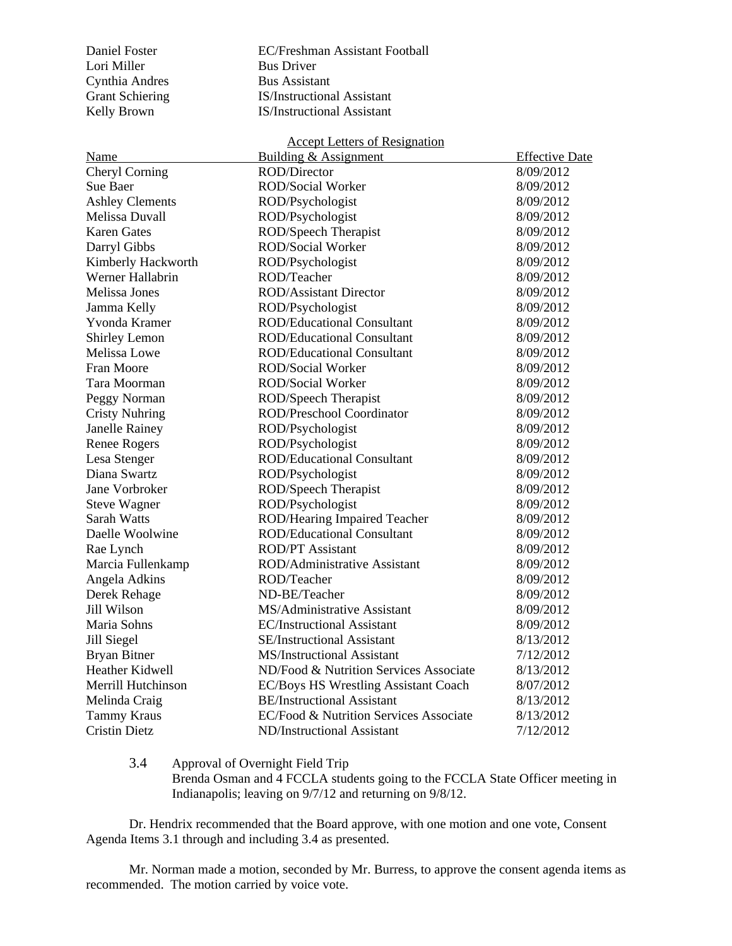Cynthia Andres Bus Assistant

Daniel Foster EC/Freshman Assistant Football Bus Driver Grant Schiering **IS/Instructional Assistant** Kelly Brown **IS/Instructional Assistant** 

| <b>Accept Letters of Resignation</b> |                                        |                       |  |  |
|--------------------------------------|----------------------------------------|-----------------------|--|--|
| Name                                 | Building & Assignment                  | <b>Effective Date</b> |  |  |
| Cheryl Corning                       | <b>ROD/Director</b>                    | 8/09/2012             |  |  |
| Sue Baer                             | <b>ROD/Social Worker</b>               | 8/09/2012             |  |  |
| <b>Ashley Clements</b>               | ROD/Psychologist                       | 8/09/2012             |  |  |
| Melissa Duvall                       | ROD/Psychologist                       | 8/09/2012             |  |  |
| <b>Karen Gates</b>                   | ROD/Speech Therapist                   | 8/09/2012             |  |  |
| Darryl Gibbs                         | <b>ROD/Social Worker</b>               | 8/09/2012             |  |  |
| Kimberly Hackworth                   | ROD/Psychologist                       | 8/09/2012             |  |  |
| Werner Hallabrin                     | ROD/Teacher                            | 8/09/2012             |  |  |
| Melissa Jones                        | <b>ROD/Assistant Director</b>          | 8/09/2012             |  |  |
| Jamma Kelly                          | ROD/Psychologist                       | 8/09/2012             |  |  |
| Yvonda Kramer                        | <b>ROD/Educational Consultant</b>      | 8/09/2012             |  |  |
| Shirley Lemon                        | <b>ROD/Educational Consultant</b>      | 8/09/2012             |  |  |
| Melissa Lowe                         | <b>ROD/Educational Consultant</b>      | 8/09/2012             |  |  |
| Fran Moore                           | ROD/Social Worker                      | 8/09/2012             |  |  |
| Tara Moorman                         | ROD/Social Worker                      | 8/09/2012             |  |  |
| Peggy Norman                         | ROD/Speech Therapist                   | 8/09/2012             |  |  |
| <b>Cristy Nuhring</b>                | ROD/Preschool Coordinator              | 8/09/2012             |  |  |
| Janelle Rainey                       | ROD/Psychologist                       | 8/09/2012             |  |  |
| <b>Renee Rogers</b>                  | ROD/Psychologist                       | 8/09/2012             |  |  |
| Lesa Stenger                         | <b>ROD/Educational Consultant</b>      | 8/09/2012             |  |  |
| Diana Swartz                         | ROD/Psychologist                       | 8/09/2012             |  |  |
| Jane Vorbroker                       | ROD/Speech Therapist                   | 8/09/2012             |  |  |
| <b>Steve Wagner</b>                  | ROD/Psychologist                       | 8/09/2012             |  |  |
| <b>Sarah Watts</b>                   | ROD/Hearing Impaired Teacher           | 8/09/2012             |  |  |
| Daelle Woolwine                      | <b>ROD/Educational Consultant</b>      | 8/09/2012             |  |  |
| Rae Lynch                            | <b>ROD/PT</b> Assistant                | 8/09/2012             |  |  |
| Marcia Fullenkamp                    | ROD/Administrative Assistant           | 8/09/2012             |  |  |
| Angela Adkins                        | ROD/Teacher                            | 8/09/2012             |  |  |
| Derek Rehage                         | ND-BE/Teacher                          | 8/09/2012             |  |  |
| Jill Wilson                          | MS/Administrative Assistant            | 8/09/2012             |  |  |
| Maria Sohns                          | <b>EC/Instructional Assistant</b>      | 8/09/2012             |  |  |
| Jill Siegel                          | <b>SE/Instructional Assistant</b>      | 8/13/2012             |  |  |
| <b>Bryan Bitner</b>                  | <b>MS/Instructional Assistant</b>      | 7/12/2012             |  |  |
| Heather Kidwell                      | ND/Food & Nutrition Services Associate | 8/13/2012             |  |  |
| Merrill Hutchinson                   | EC/Boys HS Wrestling Assistant Coach   | 8/07/2012             |  |  |
| Melinda Craig                        | <b>BE/Instructional Assistant</b>      | 8/13/2012             |  |  |
| <b>Tammy Kraus</b>                   | EC/Food & Nutrition Services Associate | 8/13/2012             |  |  |
| <b>Cristin Dietz</b>                 | ND/Instructional Assistant             | 7/12/2012             |  |  |

## 3.4 Approval of Overnight Field Trip

Brenda Osman and  $\overline{4}$  FCCLA students going to the FCCLA State Officer meeting in Indianapolis; leaving on 9/7/12 and returning on 9/8/12.

Dr. Hendrix recommended that the Board approve, with one motion and one vote, Consent Agenda Items 3.1 through and including 3.4 as presented.

Mr. Norman made a motion, seconded by Mr. Burress, to approve the consent agenda items as recommended. The motion carried by voice vote.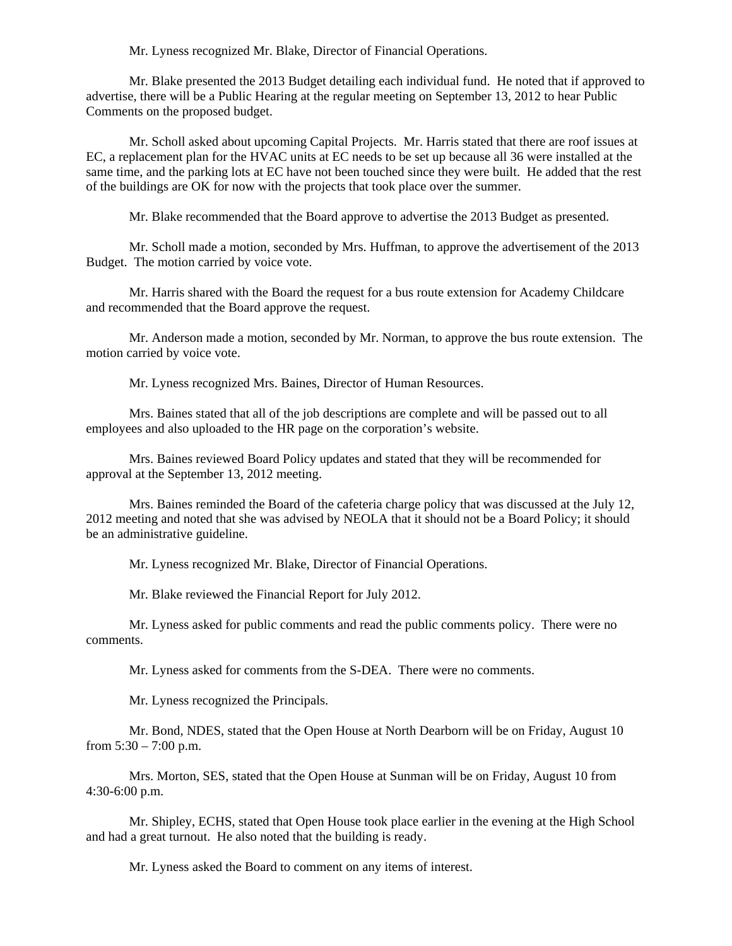Mr. Lyness recognized Mr. Blake, Director of Financial Operations.

 Mr. Blake presented the 2013 Budget detailing each individual fund. He noted that if approved to advertise, there will be a Public Hearing at the regular meeting on September 13, 2012 to hear Public Comments on the proposed budget.

 Mr. Scholl asked about upcoming Capital Projects. Mr. Harris stated that there are roof issues at EC, a replacement plan for the HVAC units at EC needs to be set up because all 36 were installed at the same time, and the parking lots at EC have not been touched since they were built. He added that the rest of the buildings are OK for now with the projects that took place over the summer.

Mr. Blake recommended that the Board approve to advertise the 2013 Budget as presented.

Mr. Scholl made a motion, seconded by Mrs. Huffman, to approve the advertisement of the 2013 Budget. The motion carried by voice vote.

 Mr. Harris shared with the Board the request for a bus route extension for Academy Childcare and recommended that the Board approve the request.

Mr. Anderson made a motion, seconded by Mr. Norman, to approve the bus route extension. The motion carried by voice vote.

Mr. Lyness recognized Mrs. Baines, Director of Human Resources.

 Mrs. Baines stated that all of the job descriptions are complete and will be passed out to all employees and also uploaded to the HR page on the corporation's website.

 Mrs. Baines reviewed Board Policy updates and stated that they will be recommended for approval at the September 13, 2012 meeting.

 Mrs. Baines reminded the Board of the cafeteria charge policy that was discussed at the July 12, 2012 meeting and noted that she was advised by NEOLA that it should not be a Board Policy; it should be an administrative guideline.

Mr. Lyness recognized Mr. Blake, Director of Financial Operations.

Mr. Blake reviewed the Financial Report for July 2012.

 Mr. Lyness asked for public comments and read the public comments policy. There were no comments.

Mr. Lyness asked for comments from the S-DEA. There were no comments.

Mr. Lyness recognized the Principals.

Mr. Bond, NDES, stated that the Open House at North Dearborn will be on Friday, August 10 from  $5:30 - 7:00$  p.m.

Mrs. Morton, SES, stated that the Open House at Sunman will be on Friday, August 10 from 4:30-6:00 p.m.

Mr. Shipley, ECHS, stated that Open House took place earlier in the evening at the High School and had a great turnout. He also noted that the building is ready.

Mr. Lyness asked the Board to comment on any items of interest.